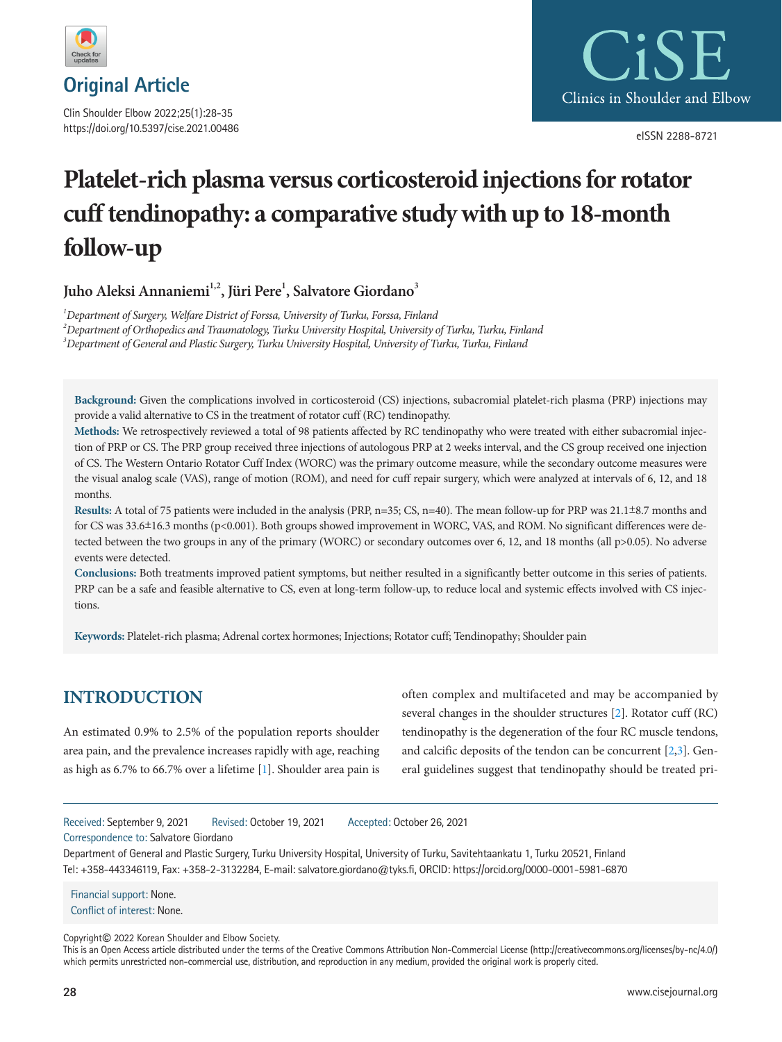

Clin Shoulder Elbow 2022;25(1):28-35 https://doi.org/10.5397/cise.2021.00486



eISSN 2288-8721

# **Platelet-rich plasma versus corticosteroid injections for rotator cuff tendinopathy: a comparative study with up to 18-month follow-up**

Juho Aleksi Annaniemi<sup>1,2</sup>, Jüri Pere<sup>1</sup>, Salvatore Giordano<sup>3</sup>

*1 Department of Surgery, Welfare District of Forssa, University of Turku, Forssa, Finland 2 Department of Orthopedics and Traumatology, Turku University Hospital, University of Turku, Turku, Finland 3 Department of General and Plastic Surgery, Turku University Hospital, University of Turku, Turku, Finland* 

**Background:** Given the complications involved in corticosteroid (CS) injections, subacromial platelet-rich plasma (PRP) injections may provide a valid alternative to CS in the treatment of rotator cuff (RC) tendinopathy.

**Methods:** We retrospectively reviewed a total of 98 patients affected by RC tendinopathy who were treated with either subacromial injection of PRP or CS. The PRP group received three injections of autologous PRP at 2 weeks interval, and the CS group received one injection of CS. The Western Ontario Rotator Cuff Index (WORC) was the primary outcome measure, while the secondary outcome measures were the visual analog scale (VAS), range of motion (ROM), and need for cuff repair surgery, which were analyzed at intervals of 6, 12, and 18 months.

**Results:** A total of 75 patients were included in the analysis (PRP, n=35; CS, n=40). The mean follow-up for PRP was 21.1±8.7 months and for CS was 33.6±16.3 months (p<0.001). Both groups showed improvement in WORC, VAS, and ROM. No significant differences were detected between the two groups in any of the primary (WORC) or secondary outcomes over 6, 12, and 18 months (all p>0.05). No adverse events were detected.

**Conclusions:** Both treatments improved patient symptoms, but neither resulted in a significantly better outcome in this series of patients. PRP can be a safe and feasible alternative to CS, even at long-term follow-up, to reduce local and systemic effects involved with CS injections.

**Keywords:** Platelet-rich plasma; Adrenal cortex hormones; Injections; Rotator cuff; Tendinopathy; Shoulder pain

# **INTRODUCTION**

An estimated 0.9% to 2.5% of the population reports shoulder area pain, and the prevalence increases rapidly with age, reaching as high as 6.7% to 66.7% over a lifetime [\[1\]](#page-6-0). Shoulder area pain is often complex and multifaceted and may be accompanied by several changes in the shoulder structures [\[2](#page-6-1)]. Rotator cuff (RC) tendinopathy is the degeneration of the four RC muscle tendons, and calcific deposits of the tendon can be concurrent [\[2,](#page-6-1)[3](#page-6-2)]. General guidelines suggest that tendinopathy should be treated pri-

Received: September 9, 2021 Revised: October 19, 2021 Accepted: October 26, 2021

Correspondence to: Salvatore Giordano

Department of General and Plastic Surgery, Turku University Hospital, University of Turku, Savitehtaankatu 1, Turku 20521, Finland Tel: +358-443346119, Fax: +358-2-3132284, E-mail: salvatore.giordano@tyks.fi, ORCID:<https://orcid.org/0000-0001-5981-6870>

Financial support: None. Conflict of interest: None.

Copyright© 2022 Korean Shoulder and Elbow Society.

This is an Open Access article distributed under the terms of the Creative Commons Attribution Non-Commercial License (http://creativecommons.org/licenses/by-nc/4.0/) which permits unrestricted non-commercial use, distribution, and reproduction in any medium, provided the original work is properly cited.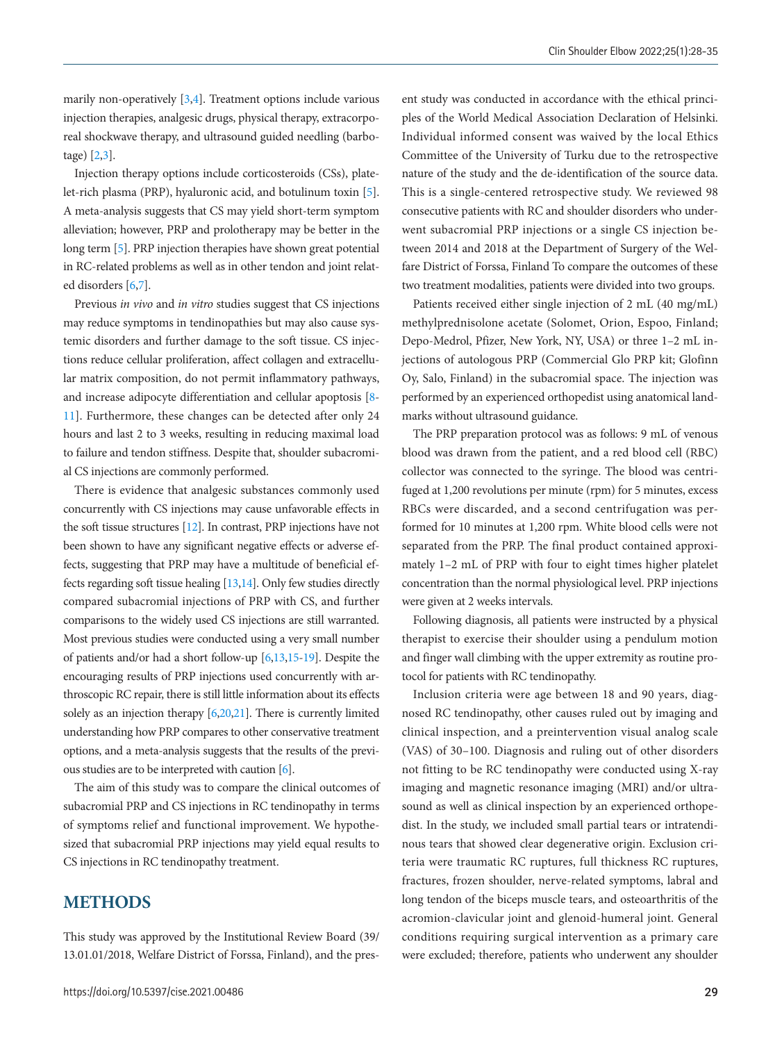marily non-operatively [3[,4](#page-6-3)]. Treatment options include various injection therapies, analgesic drugs, physical therapy, extracorporeal shockwave therapy, and ultrasound guided needling (barbotage) [2,3].

Injection therapy options include corticosteroids (CSs), platelet-rich plasma (PRP), hyaluronic acid, and botulinum toxin [\[5\]](#page-6-4). A meta-analysis suggests that CS may yield short-term symptom alleviation; however, PRP and prolotherapy may be better in the long term [\[5](#page-6-4)]. PRP injection therapies have shown great potential in RC-related problems as well as in other tendon and joint related disorders [\[6](#page-6-3)[,7\]](#page-6-5).

Previous *in vivo* and *in vitro* studies suggest that CS injections may reduce symptoms in tendinopathies but may also cause systemic disorders and further damage to the soft tissue. CS injections reduce cellular proliferation, affect collagen and extracellular matrix composition, do not permit inflammatory pathways, and increase adipocyte differentiation and cellular apoptosis [\[8](#page-6-6)[-](#page-6-7) [11](#page-6-7)]. Furthermore, these changes can be detected after only 24 hours and last 2 to 3 weeks, resulting in reducing maximal load to failure and tendon stiffness. Despite that, shoulder subacromial CS injections are commonly performed.

There is evidence that analgesic substances commonly used concurrently with CS injections may cause unfavorable effects in the soft tissue structures [\[12\]](#page-7-0). In contrast, PRP injections have not been shown to have any significant negative effects or adverse effects, suggesting that PRP may have a multitude of beneficial effects regarding soft tissue healing [\[13,](#page-7-1)[14](#page-7-2)]. Only few studies directly compared subacromial injections of PRP with CS, and further comparisons to the widely used CS injections are still warranted. Most previous studies were conducted using a very small number of patients and/or had a short follow-up [\[6](#page-6-3)[,13](#page-7-1)[,15](#page-7-3)[-19\]](#page-7-4). Despite the encouraging results of PRP injections used concurrently with arthroscopic RC repair, there is still little information about its effects solely as an injection therapy [\[6](#page-6-3)[,20](#page-7-4)[,21\]](#page-7-5). There is currently limited understanding how PRP compares to other conservative treatment options, and a meta-analysis suggests that the results of the previous studies are to be interpreted with caution [\[6](#page-6-3)].

The aim of this study was to compare the clinical outcomes of subacromial PRP and CS injections in RC tendinopathy in terms of symptoms relief and functional improvement. We hypothesized that subacromial PRP injections may yield equal results to CS injections in RC tendinopathy treatment.

#### **METHODS**

This study was approved by the Institutional Review Board (39/ 13.01.01/2018, Welfare District of Forssa, Finland), and the present study was conducted in accordance with the ethical principles of the World Medical Association Declaration of Helsinki. Individual informed consent was waived by the local Ethics Committee of the University of Turku due to the retrospective nature of the study and the de-identification of the source data. This is a single-centered retrospective study. We reviewed 98 consecutive patients with RC and shoulder disorders who underwent subacromial PRP injections or a single CS injection between 2014 and 2018 at the Department of Surgery of the Welfare District of Forssa, Finland To compare the outcomes of these two treatment modalities, patients were divided into two groups.

Patients received either single injection of 2 mL (40 mg/mL) methylprednisolone acetate (Solomet, Orion, Espoo, Finland; Depo-Medrol, Pfizer, New York, NY, USA) or three 1–2 mL injections of autologous PRP (Commercial Glo PRP kit; Glofinn Oy, Salo, Finland) in the subacromial space. The injection was performed by an experienced orthopedist using anatomical landmarks without ultrasound guidance.

The PRP preparation protocol was as follows: 9 mL of venous blood was drawn from the patient, and a red blood cell (RBC) collector was connected to the syringe. The blood was centrifuged at 1,200 revolutions per minute (rpm) for 5 minutes, excess RBCs were discarded, and a second centrifugation was performed for 10 minutes at 1,200 rpm. White blood cells were not separated from the PRP. The final product contained approximately 1–2 mL of PRP with four to eight times higher platelet concentration than the normal physiological level. PRP injections were given at 2 weeks intervals.

Following diagnosis, all patients were instructed by a physical therapist to exercise their shoulder using a pendulum motion and finger wall climbing with the upper extremity as routine protocol for patients with RC tendinopathy.

Inclusion criteria were age between 18 and 90 years, diagnosed RC tendinopathy, other causes ruled out by imaging and clinical inspection, and a preintervention visual analog scale (VAS) of 30–100. Diagnosis and ruling out of other disorders not fitting to be RC tendinopathy were conducted using X-ray imaging and magnetic resonance imaging (MRI) and/or ultrasound as well as clinical inspection by an experienced orthopedist. In the study, we included small partial tears or intratendinous tears that showed clear degenerative origin. Exclusion criteria were traumatic RC ruptures, full thickness RC ruptures, fractures, frozen shoulder, nerve-related symptoms, labral and long tendon of the biceps muscle tears, and osteoarthritis of the acromion-clavicular joint and glenoid-humeral joint. General conditions requiring surgical intervention as a primary care were excluded; therefore, patients who underwent any shoulder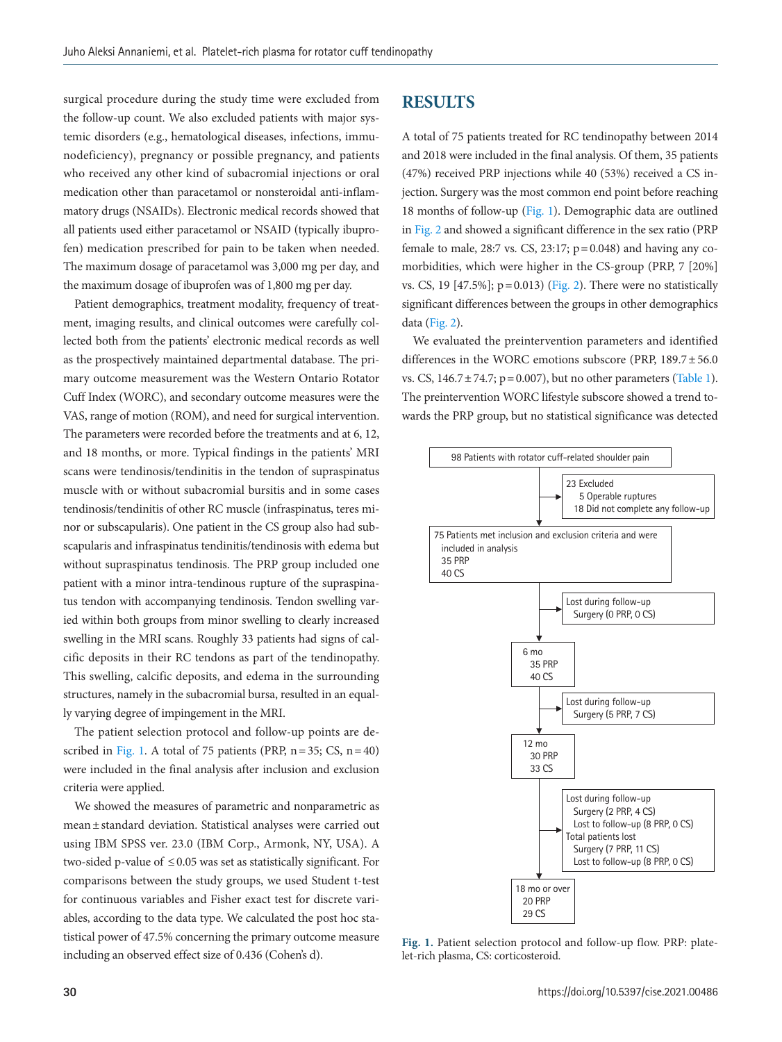surgical procedure during the study time were excluded from the follow-up count. We also excluded patients with major systemic disorders (e.g., hematological diseases, infections, immunodeficiency), pregnancy or possible pregnancy, and patients who received any other kind of subacromial injections or oral medication other than paracetamol or nonsteroidal anti-inflammatory drugs (NSAIDs). Electronic medical records showed that all patients used either paracetamol or NSAID (typically ibuprofen) medication prescribed for pain to be taken when needed. The maximum dosage of paracetamol was 3,000 mg per day, and the maximum dosage of ibuprofen was of 1,800 mg per day.

Patient demographics, treatment modality, frequency of treatment, imaging results, and clinical outcomes were carefully collected both from the patients' electronic medical records as well as the prospectively maintained departmental database. The primary outcome measurement was the Western Ontario Rotator Cuff Index (WORC), and secondary outcome measures were the VAS, range of motion (ROM), and need for surgical intervention. The parameters were recorded before the treatments and at 6, 12, and 18 months, or more. Typical findings in the patients' MRI scans were tendinosis/tendinitis in the tendon of supraspinatus muscle with or without subacromial bursitis and in some cases tendinosis/tendinitis of other RC muscle (infraspinatus, teres minor or subscapularis). One patient in the CS group also had subscapularis and infraspinatus tendinitis/tendinosis with edema but without supraspinatus tendinosis. The PRP group included one patient with a minor intra-tendinous rupture of the supraspinatus tendon with accompanying tendinosis. Tendon swelling varied within both groups from minor swelling to clearly increased swelling in the MRI scans. Roughly 33 patients had signs of calcific deposits in their RC tendons as part of the tendinopathy. This swelling, calcific deposits, and edema in the surrounding structures, namely in the subacromial bursa, resulted in an equally varying degree of impingement in the MRI.

The patient selection protocol and follow-up points are de-scribed in [Fig. 1.](#page-7-6) A total of 75 patients (PRP,  $n = 35$ ; CS,  $n = 40$ ) were included in the final analysis after inclusion and exclusion criteria were applied.

We showed the measures of parametric and nonparametric as mean ± standard deviation. Statistical analyses were carried out using IBM SPSS ver. 23.0 (IBM Corp., Armonk, NY, USA). A two-sided p-value of  $\leq$  0.05 was set as statistically significant. For comparisons between the study groups, we used Student t-test for continuous variables and Fisher exact test for discrete variables, according to the data type. We calculated the post hoc statistical power of 47.5% concerning the primary outcome measure including an observed effect size of 0.436 (Cohen's d).

#### **RESULTS**

A total of 75 patients treated for RC tendinopathy between 2014 and 2018 were included in the final analysis. Of them, 35 patients (47%) received PRP injections while 40 (53%) received a CS injection. Surgery was the most common end point before reaching 18 months of follow-up [\(Fig. 1\)](#page-7-6). Demographic data are outlined in [Fig. 2](#page-3-0) and showed a significant difference in the sex ratio (PRP female to male, 28:7 vs. CS, 23:17;  $p = 0.048$ ) and having any comorbidities, which were higher in the CS-group (PRP, 7 [20%] vs. CS, 19 [47.5%];  $p = 0.013$ ) (Fig. 2). There were no statistically significant differences between the groups in other demographics data (Fig. 2).

We evaluated the preintervention parameters and identified differences in the WORC emotions subscore (PRP, 189.7 ± 56.0 vs. CS,  $146.7 \pm 74.7$ ;  $p = 0.007$ ), but no other parameters [\(Table 1\)](#page-3-1). The preintervention WORC lifestyle subscore showed a trend towards the PRP group, but no statistical significance was detected



**Fig. 1.** Patient selection protocol and follow-up flow. PRP: platelet-rich plasma, CS: corticosteroid.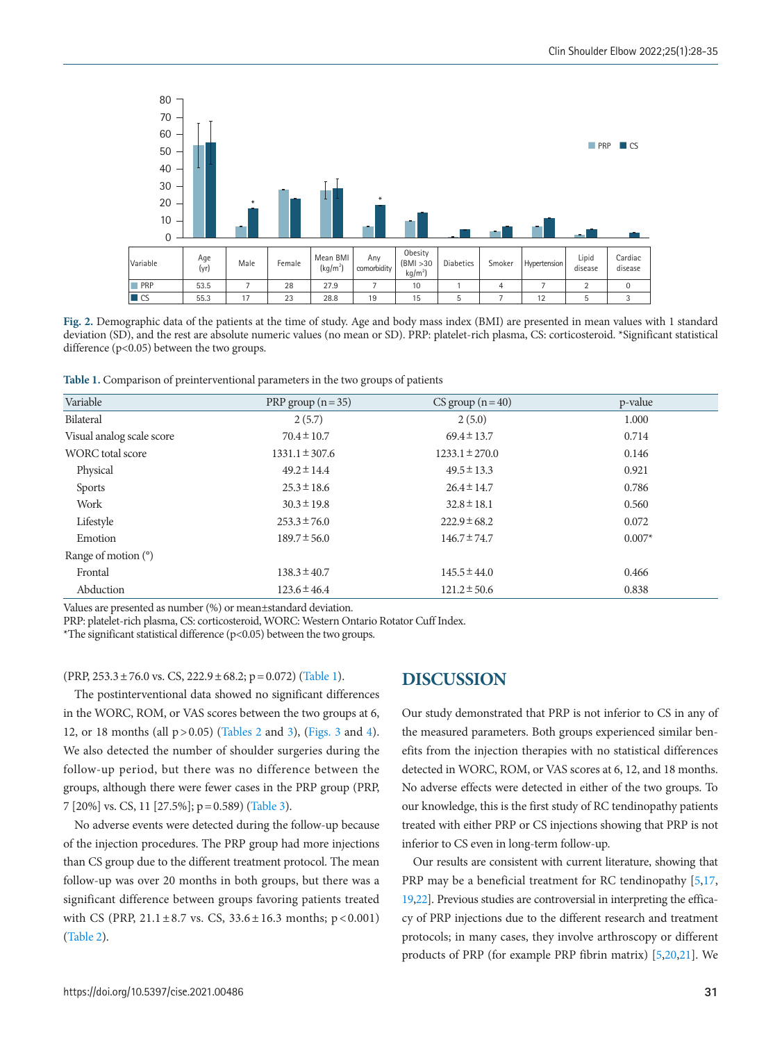<span id="page-3-0"></span>

**Fig. 2.** Demographic data of the patients at the time of study. Age and body mass index (BMI) are presented in mean values with 1 standard deviation (SD), and the rest are absolute numeric values (no mean or SD). PRP: platelet-rich plasma, CS: corticosteroid. \*Significant statistical difference (p<0.05) between the two groups.

<span id="page-3-1"></span>**Table 1.** Comparison of preinterventional parameters in the two groups of patients

| Variable                  | PRP group $(n=35)$ | $CS$ group $(n=40)$ | p-value  |
|---------------------------|--------------------|---------------------|----------|
| Bilateral                 | 2(5.7)             | 2(5.0)              | 1.000    |
| Visual analog scale score | $70.4 \pm 10.7$    | $69.4 \pm 13.7$     | 0.714    |
| <b>WORC</b> total score   | $1331.1 \pm 307.6$ | $1233.1 \pm 270.0$  | 0.146    |
| Physical                  | $49.2 \pm 14.4$    | $49.5 \pm 13.3$     | 0.921    |
| <b>Sports</b>             | $25.3 \pm 18.6$    | $26.4 \pm 14.7$     | 0.786    |
| Work                      | $30.3 \pm 19.8$    | $32.8 \pm 18.1$     | 0.560    |
| Lifestyle                 | $253.3 \pm 76.0$   | $222.9 \pm 68.2$    | 0.072    |
| Emotion                   | $189.7 \pm 56.0$   | $146.7 \pm 74.7$    | $0.007*$ |
| Range of motion $(°)$     |                    |                     |          |
| Frontal                   | $138.3 \pm 40.7$   | $145.5 \pm 44.0$    | 0.466    |
| Abduction                 | $123.6 \pm 46.4$   | $121.2 \pm 50.6$    | 0.838    |

Values are presented as number (%) or mean±standard deviation.

PRP: platelet-rich plasma, CS: corticosteroid, WORC: Western Ontario Rotator Cuff Index.

\*The significant statistical difference ( $p$ <0.05) between the two groups.

 $(PRP, 253.3 \pm 76.0 \text{ vs. CS}, 222.9 \pm 68.2; p = 0.072)$  [\(Table 1](#page-3-1)).

The postinterventional data showed no significant differences in the WORC, ROM, or VAS scores between the two groups at 6, 12, or 18 months (all  $p > 0.05$ ) [\(Ta](#page-4-0)bles 2 and [3](#page-4-1)), [\(Figs. 3](#page-5-0) and [4\)](#page-5-0). We also detected the number of shoulder surgeries during the follow-up period, but there was no difference between the groups, although there were fewer cases in the PRP group (PRP, 7 [20%] vs. CS, 11 [27.5%]; p = 0.589) [\(Table 3](#page-4-1)).

No adverse events were detected during the follow-up because of the injection procedures. The PRP group had more injections than CS group due to the different treatment protocol. The mean follow-up was over 20 months in both groups, but there was a significant difference between groups favoring patients treated with CS (PRP,  $21.1 \pm 8.7$  vs. CS,  $33.6 \pm 16.3$  months;  $p < 0.001$ ) [\(Table 2\)](#page-4-0).

# **DISCUSSION**

Our study demonstrated that PRP is not inferior to CS in any of the measured parameters. Both groups experienced similar benefits from the injection therapies with no statistical differences detected in WORC, ROM, or VAS scores at 6, 12, and 18 months. No adverse effects were detected in either of the two groups. To our knowledge, this is the first study of RC tendinopathy patients treated with either PRP or CS injections showing that PRP is not inferior to CS even in long-term follow-up.

Our results are consistent with current literature, showing that PRP may be a beneficial treatment for RC tendinopathy [5,[17,](#page-7-7) 1[9,22\]](#page-7-8). Previous studies are controversial in interpreting the efficacy of PRP injections due to the different research and treatment protocols; in many cases, they involve arthroscopy or different products of PRP (for example PRP fibrin matrix) [5,20,21]. We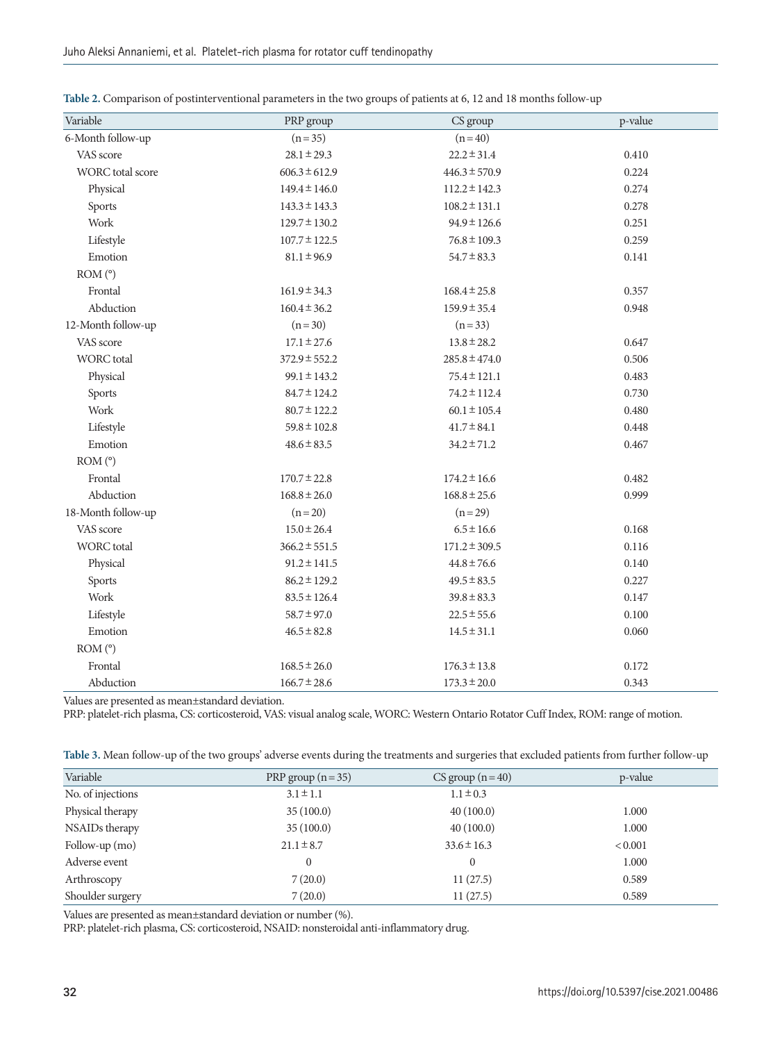| Variable           | PRP group         | CS group          | p-value |
|--------------------|-------------------|-------------------|---------|
| 6-Month follow-up  | $(n=35)$          | $(n=40)$          |         |
| VAS score          | $28.1 \pm 29.3$   | $22.2 \pm 31.4$   | 0.410   |
| WORC total score   | $606.3 \pm 612.9$ | $446.3 \pm 570.9$ | 0.224   |
| Physical           | $149.4 \pm 146.0$ | $112.2 \pm 142.3$ | 0.274   |
| Sports             | $143.3 \pm 143.3$ | $108.2 \pm 131.1$ | 0.278   |
| Work               | $129.7 \pm 130.2$ | $94.9 \pm 126.6$  | 0.251   |
| Lifestyle          | $107.7 \pm 122.5$ | $76.8 \pm 109.3$  | 0.259   |
| Emotion            | $81.1 \pm 96.9$   | $54.7 \pm 83.3$   | 0.141   |
| ROM (°)            |                   |                   |         |
| Frontal            | $161.9 \pm 34.3$  | $168.4 \pm 25.8$  | 0.357   |
| Abduction          | $160.4 \pm 36.2$  | $159.9 \pm 35.4$  | 0.948   |
| 12-Month follow-up | $(n=30)$          | $(n=33)$          |         |
| VAS score          | $17.1 \pm 27.6$   | $13.8 \pm 28.2$   | 0.647   |
| <b>WORC</b> total  | $372.9 \pm 552.2$ | $285.8 \pm 474.0$ | 0.506   |
| Physical           | $99.1 \pm 143.2$  | $75.4 \pm 121.1$  | 0.483   |
| Sports             | $84.7 \pm 124.2$  | $74.2 \pm 112.4$  | 0.730   |
| Work               | $80.7 \pm 122.2$  | $60.1 \pm 105.4$  | 0.480   |
| Lifestyle          | $59.8 \pm 102.8$  | $41.7 \pm 84.1$   | 0.448   |
| Emotion            | $48.6 \pm 83.5$   | $34.2 \pm 71.2$   | 0.467   |
| ROM (°)            |                   |                   |         |
| Frontal            | $170.7 \pm 22.8$  | $174.2 \pm 16.6$  | 0.482   |
| Abduction          | $168.8 \pm 26.0$  | $168.8 \pm 25.6$  | 0.999   |
| 18-Month follow-up | $(n=20)$          | $(n=29)$          |         |
| VAS score          | $15.0 \pm 26.4$   | $6.5 \pm 16.6$    | 0.168   |
| <b>WORC</b> total  | $366.2 \pm 551.5$ | $171.2 \pm 309.5$ | 0.116   |
| Physical           | $91.2 \pm 141.5$  | $44.8 \pm 76.6$   | 0.140   |
| Sports             | $86.2 \pm 129.2$  | $49.5 \pm 83.5$   | 0.227   |
| Work               | $83.5 \pm 126.4$  | $39.8 \pm 83.3$   | 0.147   |
| Lifestyle          | $58.7 \pm 97.0$   | $22.5 \pm 55.6$   | 0.100   |
| Emotion            | $46.5 \pm 82.8$   | $14.5 \pm 31.1$   | 0.060   |
| ROM (°)            |                   |                   |         |
| Frontal            | $168.5 \pm 26.0$  | $176.3 \pm 13.8$  | 0.172   |
| Abduction          | $166.7 \pm 28.6$  | $173.3 \pm 20.0$  | 0.343   |

<span id="page-4-0"></span>**Table 2.** Comparison of postinterventional parameters in the two groups of patients at 6, 12 and 18 months follow-up

Values are presented as mean±standard deviation.

PRP: platelet-rich plasma, CS: corticosteroid, VAS: visual analog scale, WORC: Western Ontario Rotator Cuff Index, ROM: range of motion.

<span id="page-4-1"></span>

|  | Table 3. Mean follow-up of the two groups' adverse events during the treatments and surgeries that excluded patients from further follow-up |  |
|--|---------------------------------------------------------------------------------------------------------------------------------------------|--|
|  |                                                                                                                                             |  |

| Variable          | PRP group $(n=35)$ | $CS$ group $(n=40)$ | p-value |
|-------------------|--------------------|---------------------|---------|
| No. of injections | $3.1 \pm 1.1$      | $1.1 \pm 0.3$       |         |
| Physical therapy  | 35(100.0)          | 40(100.0)           | 1.000   |
| NSAIDs therapy    | 35(100.0)          | 40(100.0)           | 1.000   |
| Follow-up $(mo)$  | $21.1 \pm 8.7$     | $33.6 \pm 16.3$     | < 0.001 |
| Adverse event     | 0                  | $\mathbf{0}$        | 1.000   |
| Arthroscopy       | 7(20.0)            | 11(27.5)            | 0.589   |
| Shoulder surgery  | 7(20.0)            | 11(27.5)            | 0.589   |

Values are presented as mean±standard deviation or number (%).

PRP: platelet-rich plasma, CS: corticosteroid, NSAID: nonsteroidal anti-inflammatory drug.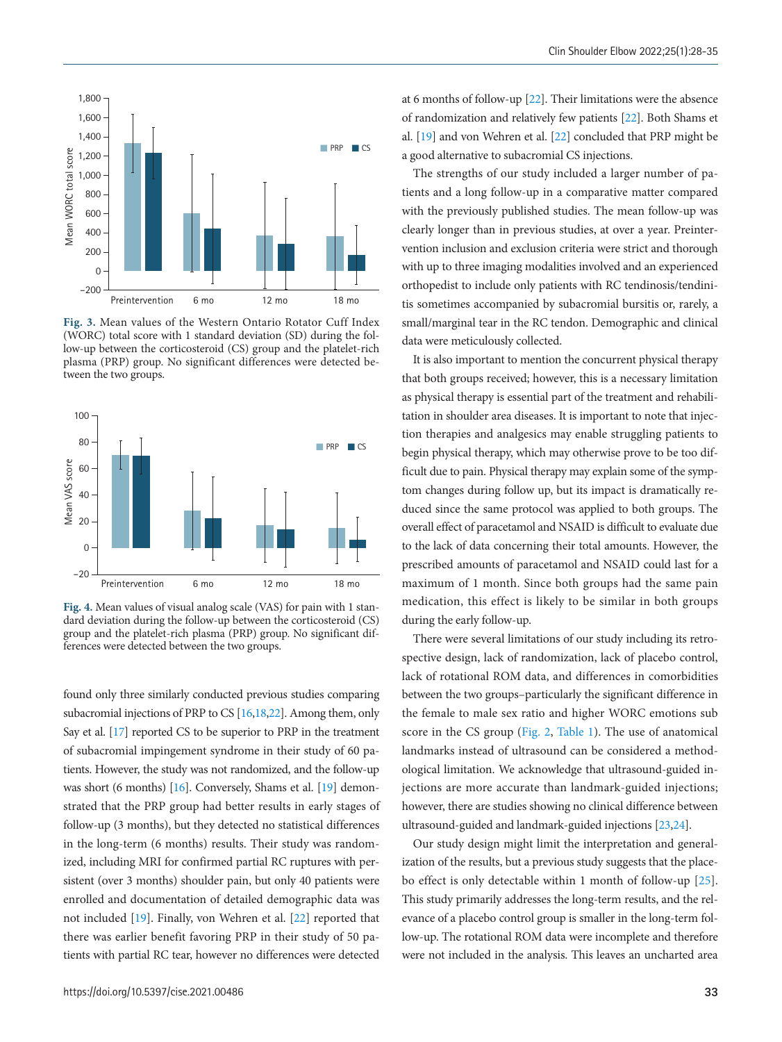

**Fig. 3.** Mean values of the Western Ontario Rotator Cuff Index (WORC) total score with 1 standard deviation (SD) during the follow-up between the corticosteroid (CS) group and the platelet-rich plasma (PRP) group. No significant differences were detected be-

<span id="page-5-0"></span>

**Fig. 4.** Mean values of visual analog scale (VAS) for pain with 1 standard deviation during the follow-up between the corticosteroid (CS) group and the platelet-rich plasma (PRP) group. No significant differences were detected between the two groups.

found only three similarly conducted previous studies comparing subacromial injections of PRP to CS [\[16](#page-7-9)[,18,22\]](#page-7-8). Among them, only Say et al. [\[](#page-7-9)[17\]](#page-7-7) reported CS to be superior to PRP in the treatment of subacromial impingement syndrome in their study of 60 patients. However, the study was not randomized, and the follow-up was short (6 months) [\[16\]](#page-7-9). Conversely, Shams et al. [19] demonstrated that the PRP group had better results in early stages of follow-up (3 months), but they detected no statistical differences in the long-term (6 months) results. Their study was randomized, including MRI for confirmed partial RC ruptures with persistent (over 3 months) shoulder pain, but only 40 patients were enrolled and documentation of detailed demographic data was not included [19]. Finally, von Wehren et al. [\[22\]](#page-7-8) reported that there was earlier benefit favoring PRP in their study of 50 patients with partial RC tear, however no differences were detected

at 6 months of follow-up [\[](#page-7-10)[22](#page-7-11)]. Their limitations were the absence of randomization and relatively few patients [\[](#page-7-10)[22](#page-7-11)]. Both Shams et al. [19] and von Wehren et al. [\[22\]](#page-7-8) concluded that PRP might be a good alternative to subacromial CS injections.

The strengths of our study included a larger number of patients and a long follow-up in a comparative matter compared with the previously published studies. The mean follow-up was clearly longer than in previous studies, at over a year. Preintervention inclusion and exclusion criteria were strict and thorough with up to three imaging modalities involved and an experienced orthopedist to include only patients with RC tendinosis/tendinitis sometimes accompanied by subacromial bursitis or, rarely, a small/marginal tear in the RC tendon. Demographic and clinical data were meticulously collected.

It is also important to mention the concurrent physical therapy that both groups received; however, this is a necessary limitation as physical therapy is essential part of the treatment and rehabilitation in shoulder area diseases. It is important to note that injection therapies and analgesics may enable struggling patients to begin physical therapy, which may otherwise prove to be too difficult due to pain. Physical therapy may explain some of the symptom changes during follow up, but its impact is dramatically reduced since the same protocol was applied to both groups. The overall effect of paracetamol and NSAID is difficult to evaluate due to the lack of data concerning their total amounts. However, the prescribed amounts of paracetamol and NSAID could last for a maximum of 1 month. Since both groups had the same pain medication, this effect is likely to be similar in both groups during the early follow-up.

There were several limitations of our study including its retrospective design, lack of randomization, lack of placebo control, lack of rotational ROM data, and differences in comorbidities between the two groups–particularly the significant difference in the female to male sex ratio and higher WORC emotions sub score in the CS group (Fig. 2, Table 1). The use of anatomical landmarks instead of ultrasound can be considered a methodological limitation. We acknowledge that ultrasound-guided injections are more accurate than landmark-guided injections; however, there are studies showing no clinical difference between ultrasound-guided and landmark-guided injections [[23](#page-7-12)[,24\]](#page-7-13).

Our study design might limit the interpretation and generalization of the results, but a previous study suggests that the placebo effect is only detectable within 1 month of follow-up [25]. This study primarily addresses the long-term results, and the relevance of a placebo control group is smaller in the long-term follow-up. The rotational ROM data were incomplete and therefore were not included in the analysis. This leaves an uncharted area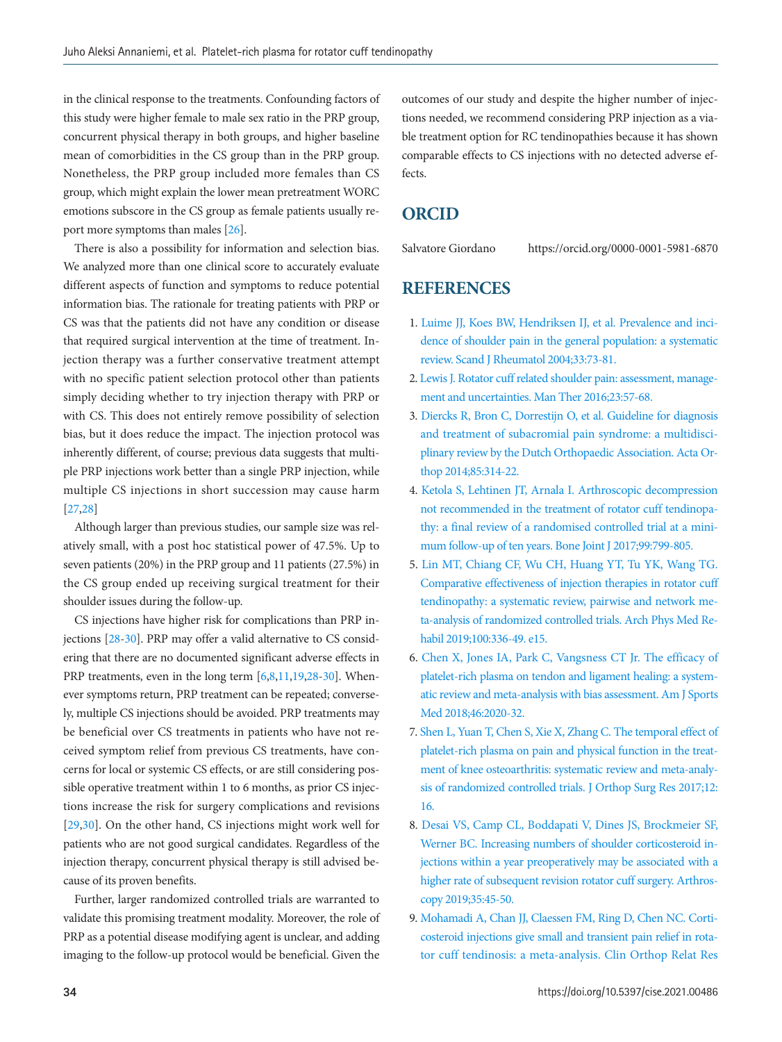in the clinical response to the treatments. Confounding factors of this study were higher female to male sex ratio in the PRP group, concurrent physical therapy in both groups, and higher baseline mean of comorbidities in the CS group than in the PRP group. Nonetheless, the PRP group included more females than CS group, which might explain the lower mean pretreatment WORC emotions subscore in the CS group as female patients usually report more symptoms than males [\[26\]](#page-7-14).

There is also a possibility for information and selection bias. We analyzed more than one clinical score to accurately evaluate different aspects of function and symptoms to reduce potential information bias. The rationale for treating patients with PRP or CS was that the patients did not have any condition or disease that required surgical intervention at the time of treatment. Injection therapy was a further conservative treatment attempt with no specific patient selection protocol other than patients simply deciding whether to try injection therapy with PRP or with CS. This does not entirely remove possibility of selection bias, but it does reduce the impact. The injection protocol was inherently different, of course; previous data suggests that multiple PRP injections work better than a single PRP injection, while multiple CS injections in short succession may cause harm [\[27](#page-7-15)[,28](#page-7-16)]

Although larger than previous studies, our sample size was relatively small, with a post hoc statistical power of 47.5%. Up to seven patients (20%) in the PRP group and 11 patients (27.5%) in the CS group ended up receiving surgical treatment for their shoulder issues during the follow-up.

CS injections have higher risk for complications than PRP injections [\[28](#page-7-16)[-30\]](#page-7-15). PRP may offer a valid alternative to CS considering that there are no documented significant adverse effects in PRP treatments, even in the long term [6,8,11,19[,28](#page-7-16)[-30\]](#page-7-15). Whenever symptoms return, PRP treatment can be repeated; conversely, multiple CS injections should be avoided. PRP treatments may be beneficial over CS treatments in patients who have not received symptom relief from previous CS treatments, have concerns for local or systemic CS effects, or are still considering possible operative treatment within 1 to 6 months, as prior CS injections increase the risk for surgery complications and revisions [\[29](#page-7-17)[,30\]](#page-7-15). On the other hand, CS injections might work well for patients who are not good surgical candidates. Regardless of the injection therapy, concurrent physical therapy is still advised because of its proven benefits.

Further, larger randomized controlled trials are warranted to validate this promising treatment modality. Moreover, the role of PRP as a potential disease modifying agent is unclear, and adding imaging to the follow-up protocol would be beneficial. Given the

outcomes of our study and despite the higher number of injections needed, we recommend considering PRP injection as a viable treatment option for RC tendinopathies because it has shown comparable effects to CS injections with no detected adverse effects.

## <span id="page-6-1"></span>**ORCID**

<span id="page-6-2"></span>Salvatore Giordano https://orcid.org/0000-0001-5981-6870

## **REFERENCES**

- <span id="page-6-0"></span>1. [Luime JJ, Koes BW, Hendriksen IJ, et al. Prevalence and inci](https://doi.org/10.1080/03009740310004667)[dence of shoulder pain in the general population: a systematic](https://doi.org/10.1080/03009740310004667)  [review. Scand J Rheumatol 2004;33:73-81.](https://doi.org/10.1080/03009740310004667)
- <span id="page-6-4"></span>2. Lewis J. Rotator cuff related shoulder pain: assessment, management and uncertainties. Man Ther 2016;23:57-68.
- 3. [Diercks R, Bron C, Dorrestijn O, et al. Guideline for diagnosis](https://www.ncbi.nlm.nih.gov/pubmed/24847788)  [and treatment of subacromial pain syndrome: a multidisci](https://www.ncbi.nlm.nih.gov/pubmed/24847788)[plinary review by the Dutch Orthopaedic Association. Acta Or](https://www.ncbi.nlm.nih.gov/pubmed/24847788)[thop 2014;85:314-22.](https://www.ncbi.nlm.nih.gov/pubmed/24847788)
- <span id="page-6-3"></span>4. Ketola S, Lehtinen JT, Arnala I. Arthroscopic decompression not [recommended in the treatment of rotator cuff tendinopa](https://www.ncbi.nlm.nih.gov/pubmed/28566400)[thy: a final review of a randomised controlled trial at a mini](https://www.ncbi.nlm.nih.gov/pubmed/28566400)[mum follow-up of ten years. Bone Joint J 2017;99:](https://www.ncbi.nlm.nih.gov/pubmed/28566400)799-805.
- 5. [Lin MT, Chiang CF, Wu CH, Huang YT, Tu YK, Wang TG.](https://doi.org/10.1016/j.apmr.2018.06.028)  [Comparative effectiveness of injection therapies in rotator cuff](https://doi.org/10.1016/j.apmr.2018.06.028)  [tendinopathy: a systematic review, pairwise and network me](https://doi.org/10.1016/j.apmr.2018.06.028)[ta-analysis of randomized controlled trials. Arch Phys Med](https://doi.org/10.1016/j.apmr.2018.06.028) Rehabil 2019;100:336-49. e15.
- <span id="page-6-6"></span>6. [Chen X, Jones IA, Park C, Vangsness CT Jr. The efficacy of](https://doi.org/10.1177/0363546517743746)  [platelet-rich plasma on tendon and ligament healing: a system](https://doi.org/10.1177/0363546517743746)[atic review and meta-analysis with bias assessment. Am J Sports](https://doi.org/10.1177/0363546517743746)  [Med 2018;46:2020-32.](https://doi.org/10.1177/0363546517743746)
- <span id="page-6-5"></span>[7. Shen L, Yuan T, Chen S, Xie X, Zhang C. The temporal effect of](https://doi.org/10.1186/s13018-017-0521-3)  [platelet-rich plasma on pain and physical function in the treat](https://doi.org/10.1186/s13018-017-0521-3)[ment of knee osteoarthritis: systematic review and meta-analy](https://doi.org/10.1186/s13018-017-0521-3)[sis of randomized controlled trials. J Orthop Sur](https://doi.org/10.1186/s13018-017-0521-3)g Res 2017;12: 16.
- <span id="page-6-7"></span>8. Desai VS, Camp CL, Boddapati [V, Dines JS, Brockmeier SF,](https://doi.org/10.1016/j.arthro.2018.07.043)  [Werner BC. Increasing numbers of shoulder corticosteroid in](https://doi.org/10.1016/j.arthro.2018.07.043)[jections within a year preoperatively may be associated with a](https://doi.org/10.1016/j.arthro.2018.07.043)  [higher rate of subsequent revision rotator cuff surgery.](https://doi.org/10.1016/j.arthro.2018.07.043) Arthroscopy 2019;35:45-50.
- 9. [Mohamadi A, Chan JJ, Claessen FM, Ring D, Chen NC. Corti](https://doi.org/10.1007/s11999-016-5002-1)[costeroid injections give small and transient pain relief in rota](https://doi.org/10.1007/s11999-016-5002-1)[tor cuff tendinosis: a meta-analysis. Clin Orthop Relat Res](https://doi.org/10.1007/s11999-016-5002-1)